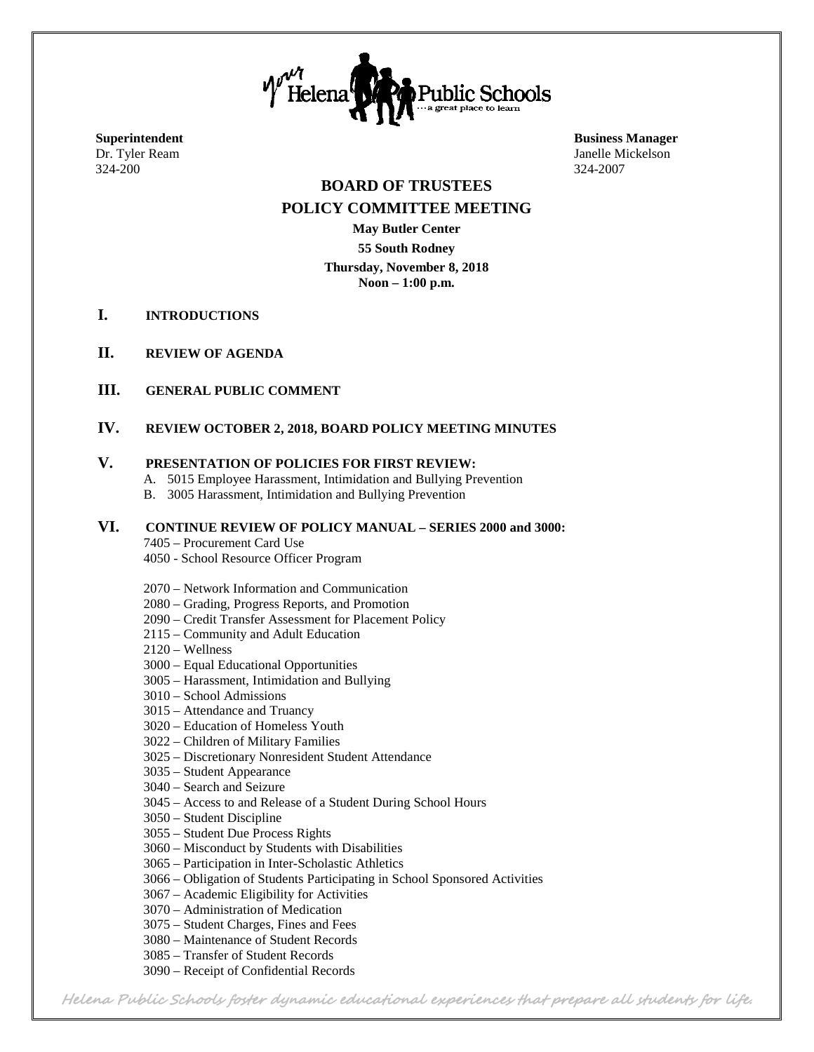

324-200 324-2007

**Superintendent Business Manager** Dr. Tyler Ream Janelle Mickelson

#### **BOARD OF TRUSTEES POLICY COMMITTEE MEETING**

**May Butler Center 55 South Rodney Thursday, November 8, 2018 Noon – 1:00 p.m.**

- **I. INTRODUCTIONS**
- **II. REVIEW OF AGENDA**
- **III. GENERAL PUBLIC COMMENT**

#### **IV. REVIEW OCTOBER 2, 2018, BOARD POLICY MEETING MINUTES**

#### **V. PRESENTATION OF POLICIES FOR FIRST REVIEW:**

- A. 5015 Employee Harassment, Intimidation and Bullying Prevention
- B. 3005 Harassment, Intimidation and Bullying Prevention

#### **VI. CONTINUE REVIEW OF POLICY MANUAL – SERIES 2000 and 3000:**

#### 7405 – Procurement Card Use

4050 - School Resource Officer Program

- 2070 Network Information and Communication
- 2080 Grading, Progress Reports, and Promotion
- 2090 Credit Transfer Assessment for Placement Policy
- 2115 Community and Adult Education
- 2120 Wellness
- 3000 Equal Educational Opportunities
- 3005 Harassment, Intimidation and Bullying
- 3010 School Admissions
- 3015 Attendance and Truancy
- 3020 Education of Homeless Youth
- 3022 Children of Military Families
- 3025 Discretionary Nonresident Student Attendance
- 3035 Student Appearance
- 3040 Search and Seizure
- 3045 Access to and Release of a Student During School Hours
- 3050 Student Discipline
- 3055 Student Due Process Rights
- 3060 Misconduct by Students with Disabilities
- 3065 Participation in Inter-Scholastic Athletics
- 3066 Obligation of Students Participating in School Sponsored Activities
- 3067 Academic Eligibility for Activities
- 3070 Administration of Medication
- 3075 Student Charges, Fines and Fees
- 3080 Maintenance of Student Records
- 3085 Transfer of Student Records
- 3090 Receipt of Confidential Records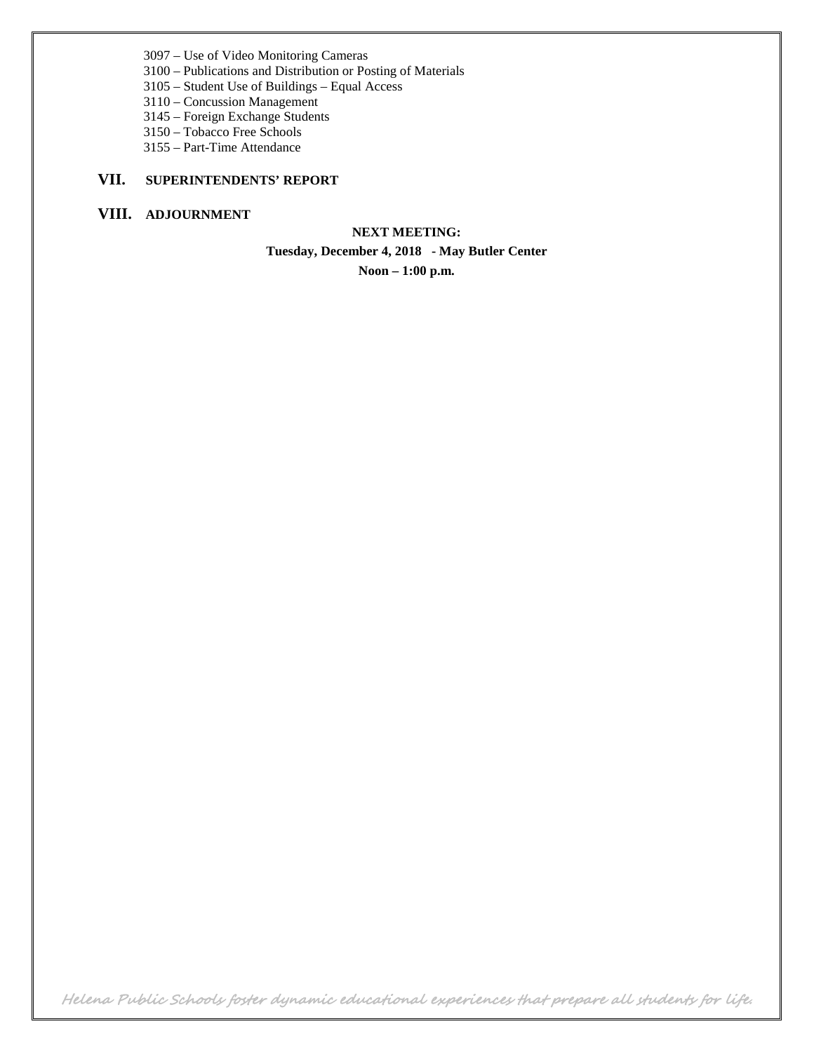3097 – Use of Video Monitoring Cameras

- 3100 Publications and Distribution or Posting of Materials
- 3105 Student Use of Buildings Equal Access
- 3110 Concussion Management
- 3145 Foreign Exchange Students
- 3150 Tobacco Free Schools
- 3155 Part-Time Attendance

#### **VII. SUPERINTENDENTS' REPORT**

### **VIII. ADJOURNMENT**

**NEXT MEETING: Tuesday, December 4, 2018 - May Butler Center Noon – 1:00 p.m.**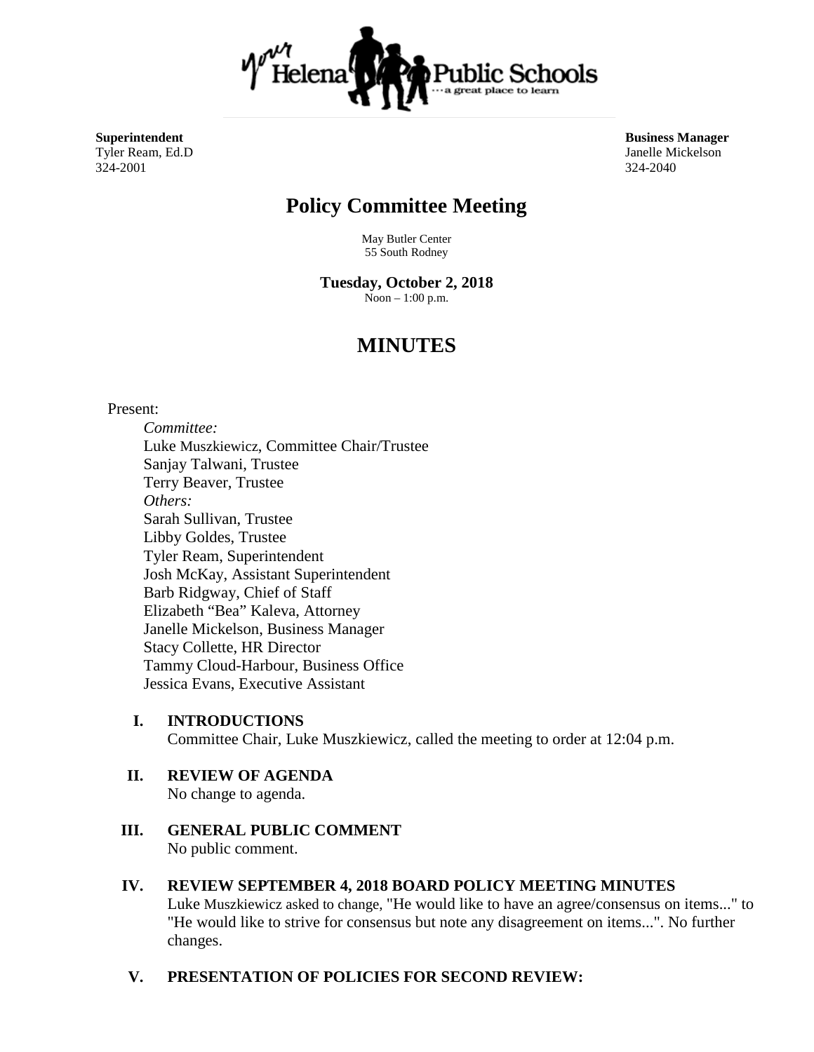

Tyler Ream, Ed.D 324-2001 324-2040

**Superintendent Business Manager<br>
Tyler Ream, Ed.D<br>
<b>Superintendent** Business Manager<br> **Superintendent** Business Manager

# **Policy Committee Meeting**

May Butler Center 55 South Rodney

**Tuesday, October 2, 2018** Noon – 1:00 p.m.

# **MINUTES**

#### Present:

*Committee:* Luke Muszkiewicz, Committee Chair/Trustee Sanjay Talwani, Trustee Terry Beaver, Trustee *Others:* Sarah Sullivan, Trustee Libby Goldes, Trustee Tyler Ream, Superintendent Josh McKay, Assistant Superintendent Barb Ridgway, Chief of Staff Elizabeth "Bea" Kaleva, Attorney Janelle Mickelson, Business Manager Stacy Collette, HR Director Tammy Cloud-Harbour, Business Office Jessica Evans, Executive Assistant

- **I. INTRODUCTIONS** Committee Chair, Luke Muszkiewicz, called the meeting to order at 12:04 p.m.
- **II. REVIEW OF AGENDA** No change to agenda.
- **III. GENERAL PUBLIC COMMENT** No public comment.
- **IV. REVIEW SEPTEMBER 4, 2018 BOARD POLICY MEETING MINUTES** Luke Muszkiewicz asked to change, "He would like to have an agree/consensus on items..." to "He would like to strive for consensus but note any disagreement on items...". No further changes.
- **V. PRESENTATION OF POLICIES FOR SECOND REVIEW:**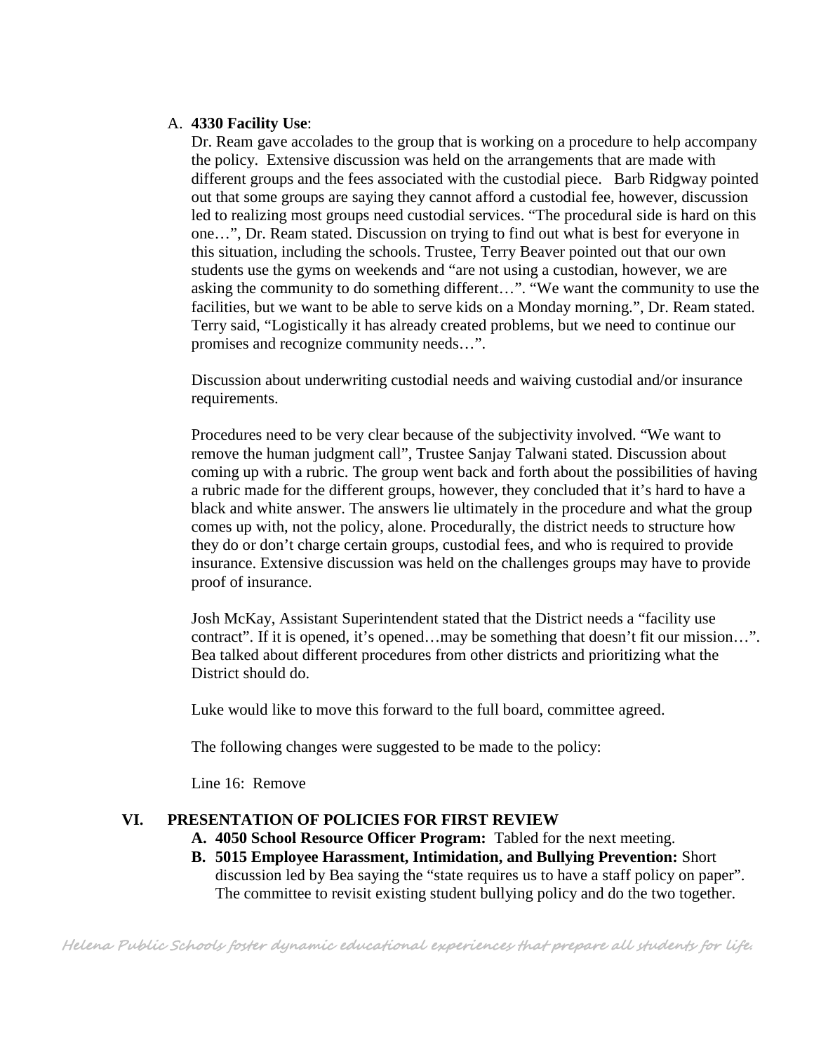#### A. **4330 Facility Use**:

Dr. Ream gave accolades to the group that is working on a procedure to help accompany the policy. Extensive discussion was held on the arrangements that are made with different groups and the fees associated with the custodial piece. Barb Ridgway pointed out that some groups are saying they cannot afford a custodial fee, however, discussion led to realizing most groups need custodial services. "The procedural side is hard on this one…", Dr. Ream stated. Discussion on trying to find out what is best for everyone in this situation, including the schools. Trustee, Terry Beaver pointed out that our own students use the gyms on weekends and "are not using a custodian, however, we are asking the community to do something different…". "We want the community to use the facilities, but we want to be able to serve kids on a Monday morning.", Dr. Ream stated. Terry said, "Logistically it has already created problems, but we need to continue our promises and recognize community needs…".

Discussion about underwriting custodial needs and waiving custodial and/or insurance requirements.

Procedures need to be very clear because of the subjectivity involved. "We want to remove the human judgment call", Trustee Sanjay Talwani stated. Discussion about coming up with a rubric. The group went back and forth about the possibilities of having a rubric made for the different groups, however, they concluded that it's hard to have a black and white answer. The answers lie ultimately in the procedure and what the group comes up with, not the policy, alone. Procedurally, the district needs to structure how they do or don't charge certain groups, custodial fees, and who is required to provide insurance. Extensive discussion was held on the challenges groups may have to provide proof of insurance.

Josh McKay, Assistant Superintendent stated that the District needs a "facility use contract". If it is opened, it's opened…may be something that doesn't fit our mission…". Bea talked about different procedures from other districts and prioritizing what the District should do.

Luke would like to move this forward to the full board, committee agreed.

The following changes were suggested to be made to the policy:

Line 16: Remove

#### **VI. PRESENTATION OF POLICIES FOR FIRST REVIEW**

- **A. 4050 School Resource Officer Program:** Tabled for the next meeting.
- **B. 5015 Employee Harassment, Intimidation, and Bullying Prevention:** Short discussion led by Bea saying the "state requires us to have a staff policy on paper". The committee to revisit existing student bullying policy and do the two together.

Helena Public Schools foster dynamic educational experiences that prepare all students for life.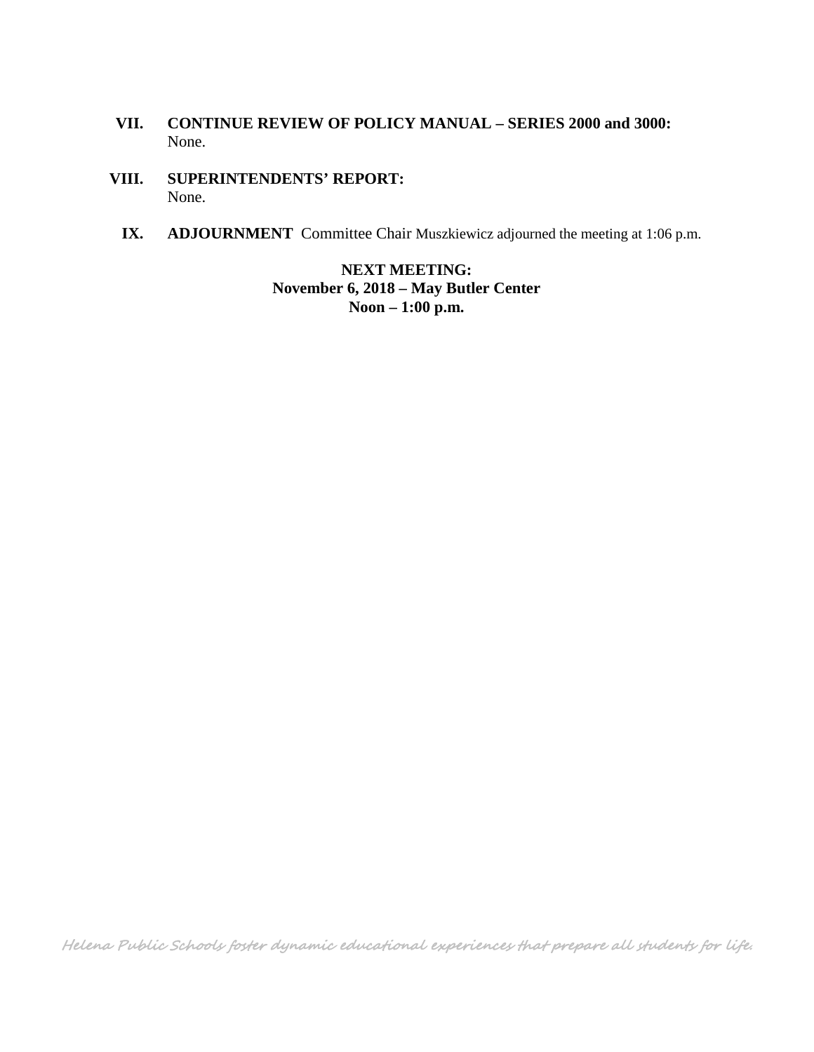- **VII. CONTINUE REVIEW OF POLICY MANUAL – SERIES 2000 and 3000:** None.
- **VIII. SUPERINTENDENTS' REPORT:** None.
	- **IX. ADJOURNMENT** Committee Chair Muszkiewicz adjourned the meeting at 1:06 p.m.

**NEXT MEETING: November 6, 2018 – May Butler Center Noon – 1:00 p.m.**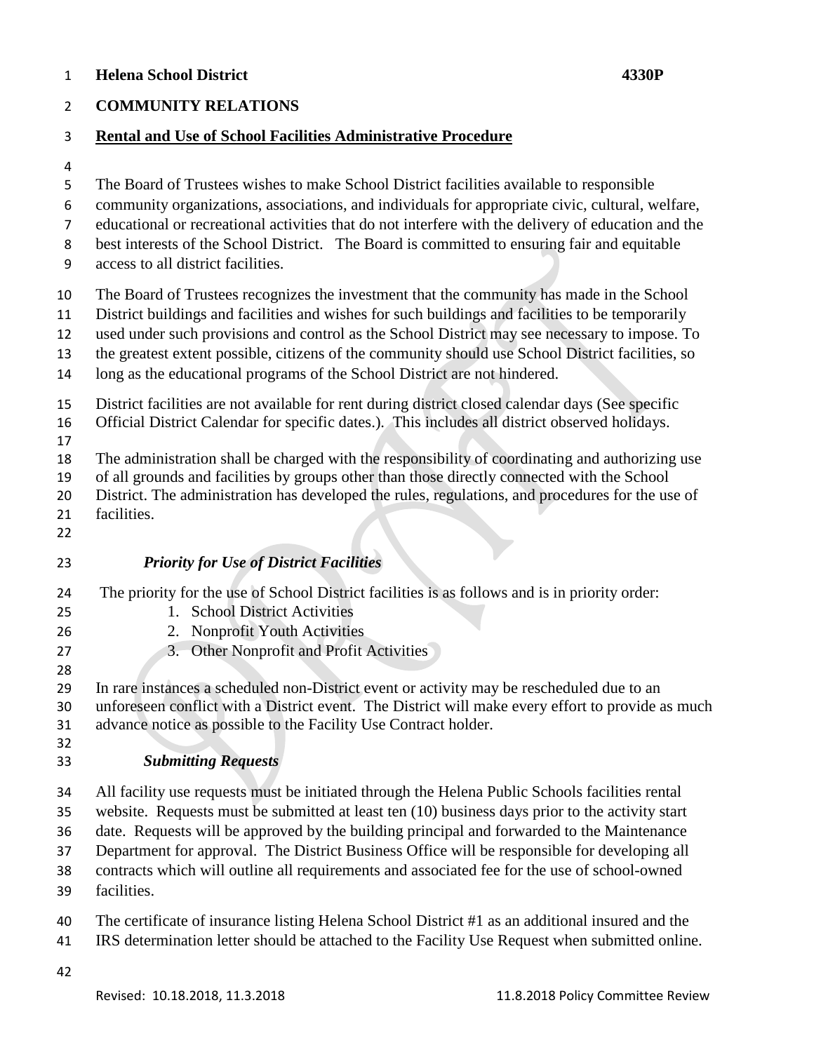#### **Helena School District 4330P**

#### **COMMUNITY RELATIONS**

#### **Rental and Use of School Facilities Administrative Procedure**

- 
- The Board of Trustees wishes to make School District facilities available to responsible
- community organizations, associations, and individuals for appropriate civic, cultural, welfare,
- educational or recreational activities that do not interfere with the delivery of education and the
- best interests of the School District. The Board is committed to ensuring fair and equitable
- access to all district facilities.
- The Board of Trustees recognizes the investment that the community has made in the School
- District buildings and facilities and wishes for such buildings and facilities to be temporarily
- used under such provisions and control as the School District may see necessary to impose. To
- the greatest extent possible, citizens of the community should use School District facilities, so
- long as the educational programs of the School District are not hindered.
- District facilities are not available for rent during district closed calendar days (See specific
- Official District Calendar for specific dates.). This includes all district observed holidays.
- 

The administration shall be charged with the responsibility of coordinating and authorizing use

- of all grounds and facilities by groups other than those directly connected with the School
- District. The administration has developed the rules, regulations, and procedures for the use of
- facilities.
- 

# *Priority for Use of District Facilities*

- The priority for the use of School District facilities is as follows and is in priority order:
- 1. School District Activities
- 2. Nonprofit Youth Activities
- 
- 27 3. Other Nonprofit and Profit Activities
- In rare instances a scheduled non-District event or activity may be rescheduled due to an unforeseen conflict with a District event. The District will make every effort to provide as much advance notice as possible to the Facility Use Contract holder.
- *Submitting Requests*
- 
- All facility use requests must be initiated through the Helena Public Schools facilities rental
- website. Requests must be submitted at least ten (10) business days prior to the activity start
- date. Requests will be approved by the building principal and forwarded to the Maintenance
- Department for approval. The District Business Office will be responsible for developing all
- contracts which will outline all requirements and associated fee for the use of school-owned
- facilities.
- The certificate of insurance listing Helena School District #1 as an additional insured and the
- IRS determination letter should be attached to the Facility Use Request when submitted online.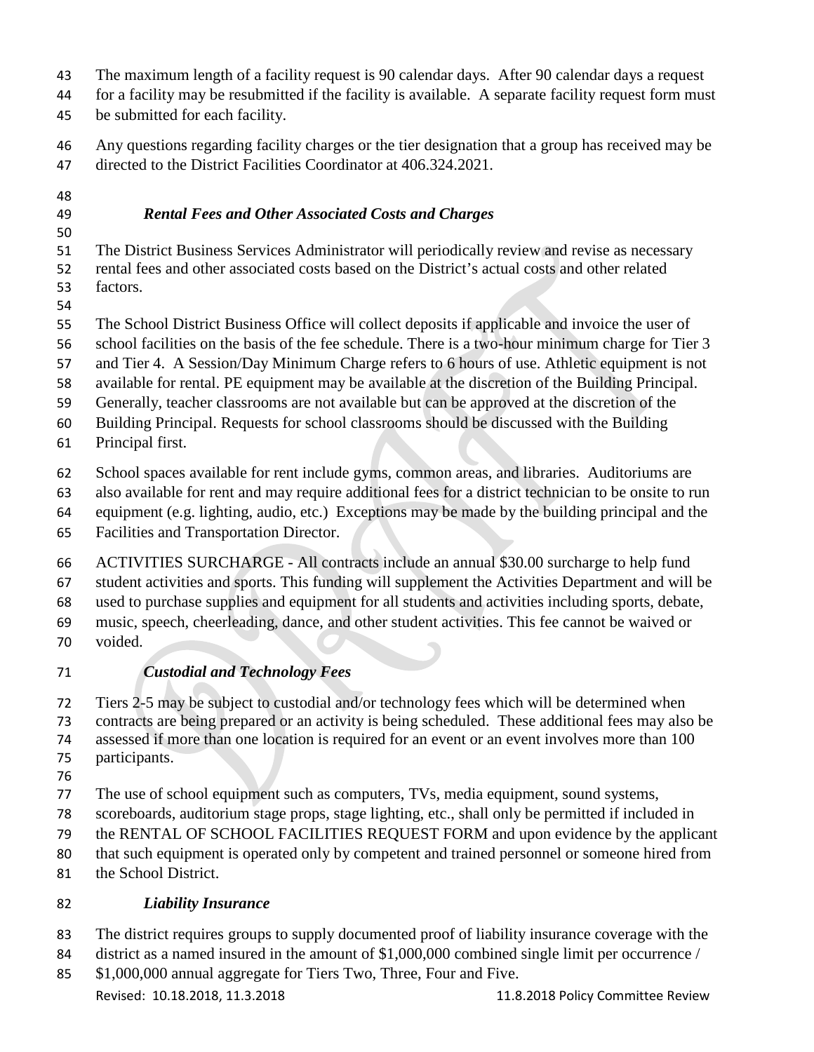- The maximum length of a facility request is 90 calendar days. After 90 calendar days a request
- for a facility may be resubmitted if the facility is available. A separate facility request form must
- be submitted for each facility.
- Any questions regarding facility charges or the tier designation that a group has received may be directed to the District Facilities Coordinator at 406.324.2021.
- 
- 

# *Rental Fees and Other Associated Costs and Charges*

- The District Business Services Administrator will periodically review and revise as necessary rental fees and other associated costs based on the District's actual costs and other related factors.
- 
- The School District Business Office will collect deposits if applicable and invoice the user of
- school facilities on the basis of the fee schedule. There is a two-hour minimum charge for Tier 3
- and Tier 4. A Session/Day Minimum Charge refers to 6 hours of use. Athletic equipment is not
- available for rental. PE equipment may be available at the discretion of the Building Principal.
- Generally, teacher classrooms are not available but can be approved at the discretion of the
- Building Principal. Requests for school classrooms should be discussed with the Building
- Principal first.
- School spaces available for rent include gyms, common areas, and libraries. Auditoriums are
- also available for rent and may require additional fees for a district technician to be onsite to run
- equipment (e.g. lighting, audio, etc.) Exceptions may be made by the building principal and the
- Facilities and Transportation Director.
- ACTIVITIES SURCHARGE All contracts include an annual \$30.00 surcharge to help fund student activities and sports. This funding will supplement the Activities Department and will be
- used to purchase supplies and equipment for all students and activities including sports, debate,
- music, speech, cheerleading, dance, and other student activities. This fee cannot be waived or
- voided.

# *Custodial and Technology Fees*

- Tiers 2-5 may be subject to custodial and/or technology fees which will be determined when
- contracts are being prepared or an activity is being scheduled. These additional fees may also be assessed if more than one location is required for an event or an event involves more than 100
- participants.
- 
- The use of school equipment such as computers, TVs, media equipment, sound systems,
- scoreboards, auditorium stage props, stage lighting, etc., shall only be permitted if included in
- the RENTAL OF SCHOOL FACILITIES REQUEST FORM and upon evidence by the applicant
- that such equipment is operated only by competent and trained personnel or someone hired from
- the School District.

# *Liability Insurance*

- The district requires groups to supply documented proof of liability insurance coverage with the
- district as a named insured in the amount of \$1,000,000 combined single limit per occurrence /
- Revised: 10.18.2018, 11.3.2018 11.8.2018 Policy Committee Review \$1,000,000 annual aggregate for Tiers Two, Three, Four and Five.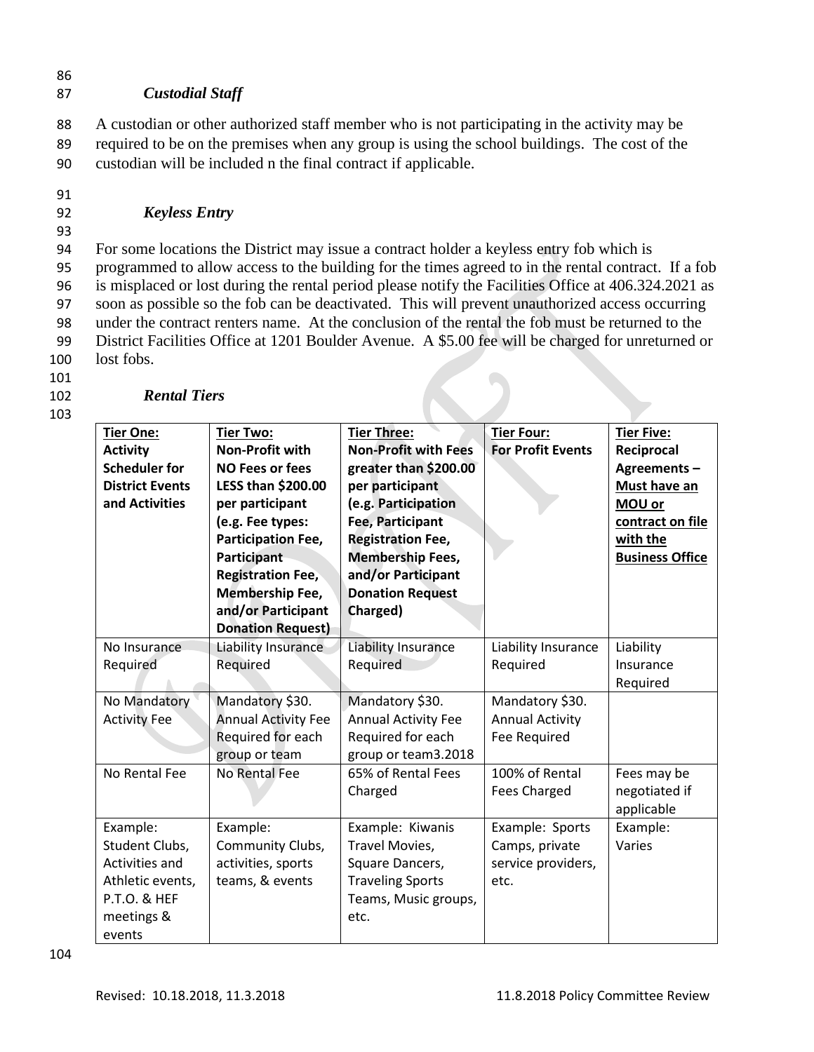#### 86

#### 87 *Custodial Staff*

88 A custodian or other authorized staff member who is not participating in the activity may be 89 required to be on the premises when any group is using the school buildings. The cost of the 90 custodian will be included n the final contract if applicable.

91

## 92 *Keyless Entry*

93

 For some locations the District may issue a contract holder a keyless entry fob which is programmed to allow access to the building for the times agreed to in the rental contract. If a fob is misplaced or lost during the rental period please notify the Facilities Office at 406.324.2021 as soon as possible so the fob can be deactivated. This will prevent unauthorized access occurring under the contract renters name. At the conclusion of the rental the fob must be returned to the District Facilities Office at 1201 Boulder Avenue. A \$5.00 fee will be charged for unreturned or lost fobs.

101

103

## 102 *Rental Tiers*

| <b>Tier One:</b><br><b>Activity</b><br><b>Scheduler for</b><br><b>District Events</b><br>and Activities  | <b>Tier Two:</b><br><b>Non-Profit with</b><br><b>NO Fees or fees</b><br><b>LESS than \$200.00</b><br>per participant<br>(e.g. Fee types:<br><b>Participation Fee,</b><br>Participant<br><b>Registration Fee,</b><br><b>Membership Fee,</b><br>and/or Participant<br><b>Donation Request)</b> | <b>Tier Three:</b><br><b>Non-Profit with Fees</b><br>greater than \$200.00<br>per participant<br>(e.g. Participation<br>Fee, Participant<br><b>Registration Fee,</b><br><b>Membership Fees,</b><br>and/or Participant<br><b>Donation Request</b><br>Charged) | <b>Tier Four:</b><br><b>For Profit Events</b>                   | <b>Tier Five:</b><br>Reciprocal<br>Agreements-<br>Must have an<br>MOU or<br>contract on file<br>with the<br><b>Business Office</b> |
|----------------------------------------------------------------------------------------------------------|----------------------------------------------------------------------------------------------------------------------------------------------------------------------------------------------------------------------------------------------------------------------------------------------|--------------------------------------------------------------------------------------------------------------------------------------------------------------------------------------------------------------------------------------------------------------|-----------------------------------------------------------------|------------------------------------------------------------------------------------------------------------------------------------|
| No Insurance<br>Required                                                                                 | <b>Liability Insurance</b><br>Required                                                                                                                                                                                                                                                       | Liability Insurance<br>Required                                                                                                                                                                                                                              | Liability Insurance<br>Required                                 | Liability<br>Insurance<br>Required                                                                                                 |
| No Mandatory<br><b>Activity Fee</b>                                                                      | Mandatory \$30.<br><b>Annual Activity Fee</b><br>Required for each<br>group or team                                                                                                                                                                                                          | Mandatory \$30.<br><b>Annual Activity Fee</b><br>Required for each<br>group or team3.2018                                                                                                                                                                    | Mandatory \$30.<br><b>Annual Activity</b><br>Fee Required       |                                                                                                                                    |
| No Rental Fee                                                                                            | No Rental Fee                                                                                                                                                                                                                                                                                | 65% of Rental Fees<br>Charged                                                                                                                                                                                                                                | 100% of Rental<br><b>Fees Charged</b>                           | Fees may be<br>negotiated if<br>applicable                                                                                         |
| Example:<br>Student Clubs,<br>Activities and<br>Athletic events,<br>P.T.O. & HEF<br>meetings &<br>events | Example:<br>Community Clubs,<br>activities, sports<br>teams, & events                                                                                                                                                                                                                        | Example: Kiwanis<br>Travel Movies,<br>Square Dancers,<br><b>Traveling Sports</b><br>Teams, Music groups,<br>etc.                                                                                                                                             | Example: Sports<br>Camps, private<br>service providers,<br>etc. | Example:<br>Varies                                                                                                                 |

104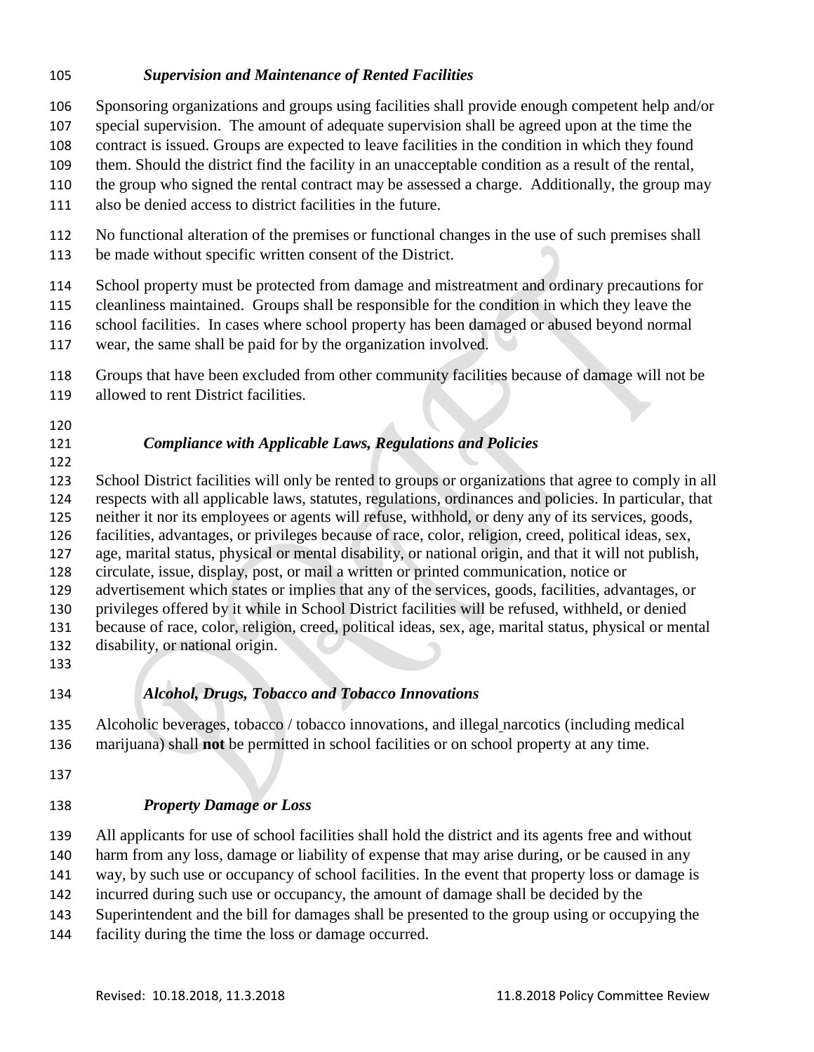#### *Supervision and Maintenance of Rented Facilities*

Sponsoring organizations and groups using facilities shall provide enough competent help and/or

- special supervision. The amount of adequate supervision shall be agreed upon at the time the
- contract is issued. Groups are expected to leave facilities in the condition in which they found
- them. Should the district find the facility in an unacceptable condition as a result of the rental,
- the group who signed the rental contract may be assessed a charge. Additionally, the group may
- also be denied access to district facilities in the future.

No functional alteration of the premises or functional changes in the use of such premises shall

be made without specific written consent of the District.

School property must be protected from damage and mistreatment and ordinary precautions for

- cleanliness maintained. Groups shall be responsible for the condition in which they leave the
- school facilities. In cases where school property has been damaged or abused beyond normal
- wear, the same shall be paid for by the organization involved.
- Groups that have been excluded from other community facilities because of damage will not be allowed to rent District facilities.
- 
- 

# *Compliance with Applicable Laws, Regulations and Policies*

 School District facilities will only be rented to groups or organizations that agree to comply in all respects with all applicable laws, statutes, regulations, ordinances and policies. In particular, that neither it nor its employees or agents will refuse, withhold, or deny any of its services, goods, facilities, advantages, or privileges because of race, color, religion, creed, political ideas, sex, age, marital status, physical or mental disability, or national origin, and that it will not publish, circulate, issue, display, post, or mail a written or printed communication, notice or advertisement which states or implies that any of the services, goods, facilities, advantages, or privileges offered by it while in School District facilities will be refused, withheld, or denied because of race, color, religion, creed, political ideas, sex, age, marital status, physical or mental disability, or national origin.

# *Alcohol, Drugs, Tobacco and Tobacco Innovations*

 Alcoholic beverages, tobacco / tobacco innovations, and illegal narcotics (including medical marijuana) shall **not** be permitted in school facilities or on school property at any time.

# *Property Damage or Loss*

 All applicants for use of school facilities shall hold the district and its agents free and without harm from any loss, damage or liability of expense that may arise during, or be caused in any

way, by such use or occupancy of school facilities. In the event that property loss or damage is

- incurred during such use or occupancy, the amount of damage shall be decided by the
- Superintendent and the bill for damages shall be presented to the group using or occupying the
- facility during the time the loss or damage occurred.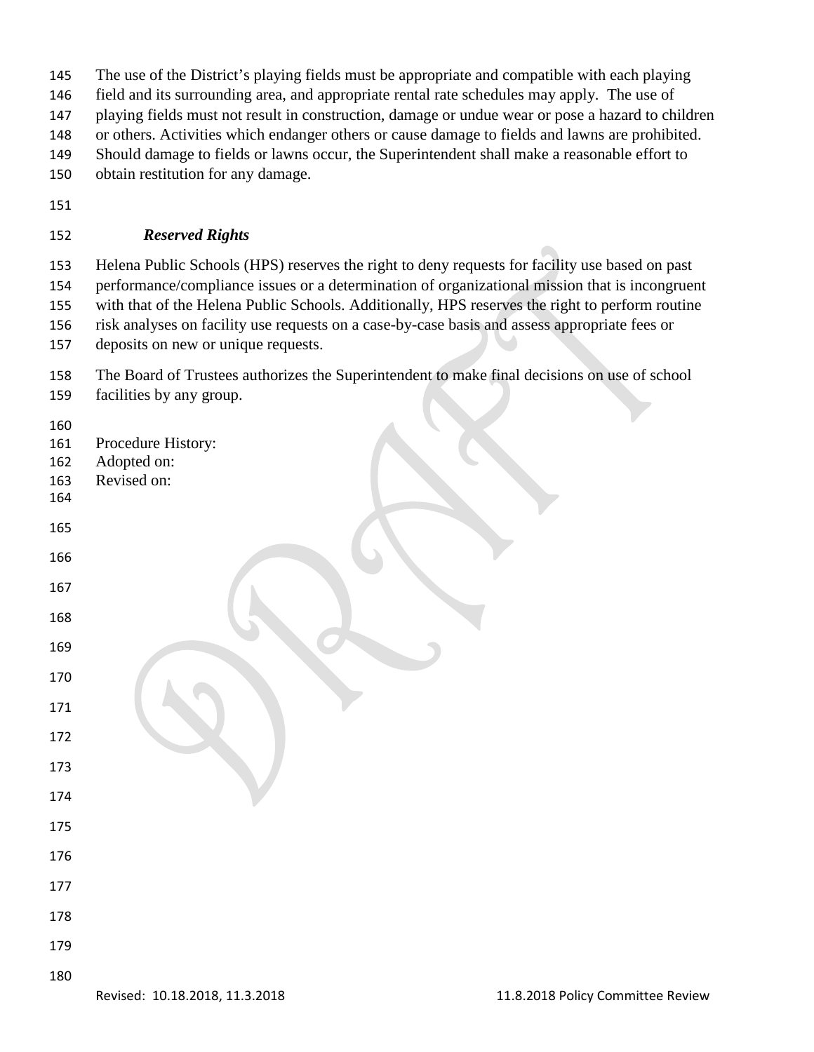- The use of the District's playing fields must be appropriate and compatible with each playing
- field and its surrounding area, and appropriate rental rate schedules may apply. The use of
- playing fields must not result in construction, damage or undue wear or pose a hazard to children
- or others. Activities which endanger others or cause damage to fields and lawns are prohibited.
- Should damage to fields or lawns occur, the Superintendent shall make a reasonable effort to
- obtain restitution for any damage.
- 

### *Reserved Rights*

 Helena Public Schools (HPS) reserves the right to deny requests for facility use based on past performance/compliance issues or a determination of organizational mission that is incongruent with that of the Helena Public Schools. Additionally, HPS reserves the right to perform routine risk analyses on facility use requests on a case-by-case basis and assess appropriate fees or

- deposits on new or unique requests.
- The Board of Trustees authorizes the Superintendent to make final decisions on use of school facilities by any group.
- 
- Procedure History:
- Adopted on:
- Revised on:
- 
- 
- 
- 
- 
- 
- 
- 
- 
- 
- 
- 
- 
- 
- 
- 
- 
-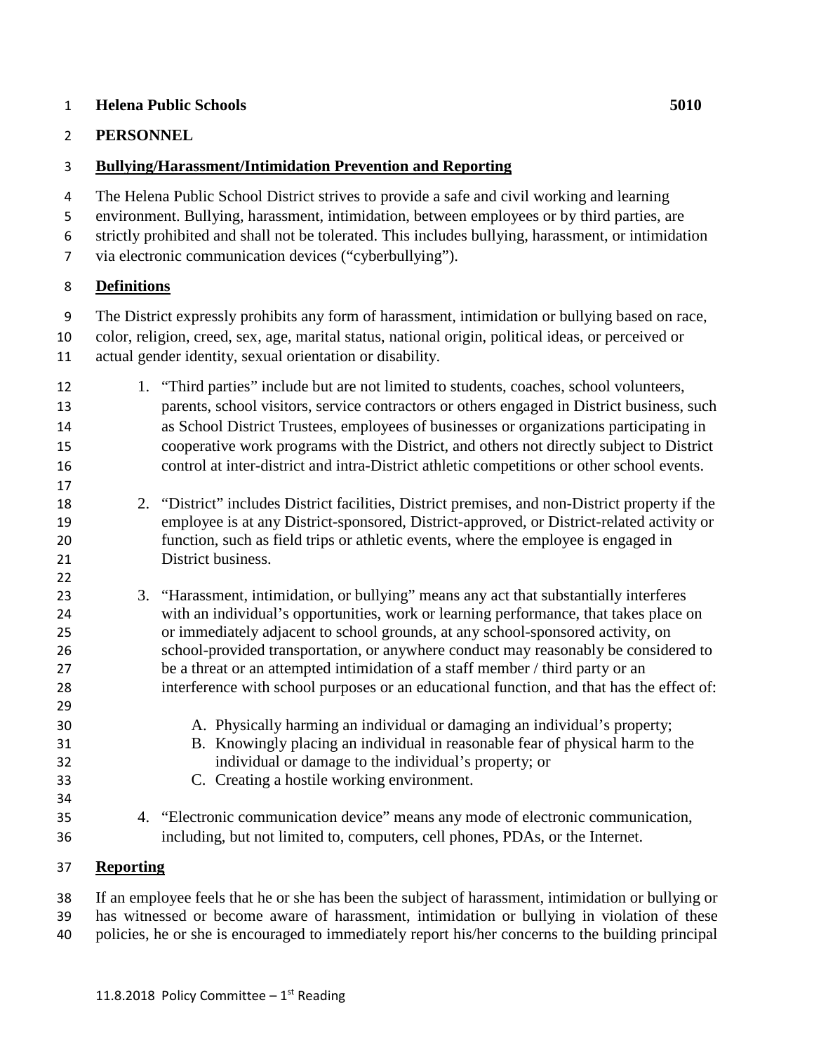#### **Helena Public Schools 5010**

#### **PERSONNEL**

### **Bullying/Harassment/Intimidation Prevention and Reporting**

 The Helena Public School District strives to provide a safe and civil working and learning environment. Bullying, harassment, intimidation, between employees or by third parties, are strictly prohibited and shall not be tolerated. This includes bullying, harassment, or intimidation

via electronic communication devices ("cyberbullying").

#### **Definitions**

The District expressly prohibits any form of harassment, intimidation or bullying based on race,

- color, religion, creed, sex, age, marital status, national origin, political ideas, or perceived or actual gender identity, sexual orientation or disability.
- 1. "Third parties" include but are not limited to students, coaches, school volunteers, parents, school visitors, service contractors or others engaged in District business, such as School District Trustees, employees of businesses or organizations participating in cooperative work programs with the District, and others not directly subject to District control at inter-district and intra-District athletic competitions or other school events.
- 2. "District" includes District facilities, District premises, and non-District property if the employee is at any District-sponsored, District-approved, or District-related activity or function, such as field trips or athletic events, where the employee is engaged in District business.
- 3. "Harassment, intimidation, or bullying" means any act that substantially interferes with an individual's opportunities, work or learning performance, that takes place on or immediately adjacent to school grounds, at any school-sponsored activity, on school-provided transportation, or anywhere conduct may reasonably be considered to be a threat or an attempted intimidation of a staff member / third party or an interference with school purposes or an educational function, and that has the effect of:
- A. Physically harming an individual or damaging an individual's property;
- B. Knowingly placing an individual in reasonable fear of physical harm to the individual or damage to the individual's property; or
- C. Creating a hostile working environment.
- 4. "Electronic communication device" means any mode of electronic communication, including, but not limited to, computers, cell phones, PDAs, or the Internet.

#### **Reporting**

If an employee feels that he or she has been the subject of harassment, intimidation or bullying or

- has witnessed or become aware of harassment, intimidation or bullying in violation of these
- policies, he or she is encouraged to immediately report his/her concerns to the building principal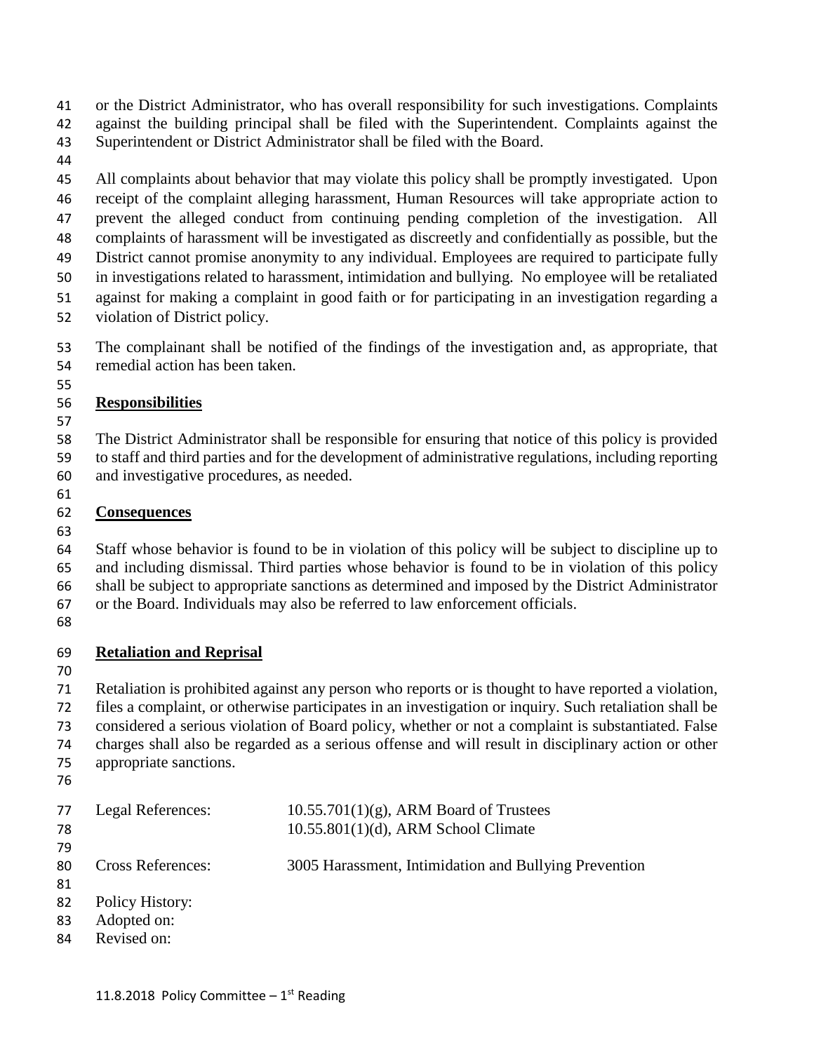or the District Administrator, who has overall responsibility for such investigations. Complaints against the building principal shall be filed with the Superintendent. Complaints against the

- Superintendent or District Administrator shall be filed with the Board.
- 

 All complaints about behavior that may violate this policy shall be promptly investigated. Upon receipt of the complaint alleging harassment, Human Resources will take appropriate action to prevent the alleged conduct from continuing pending completion of the investigation. All complaints of harassment will be investigated as discreetly and confidentially as possible, but the District cannot promise anonymity to any individual. Employees are required to participate fully in investigations related to harassment, intimidation and bullying. No employee will be retaliated against for making a complaint in good faith or for participating in an investigation regarding a

violation of District policy.

 The complainant shall be notified of the findings of the investigation and, as appropriate, that remedial action has been taken.

## **Responsibilities**

 The District Administrator shall be responsible for ensuring that notice of this policy is provided to staff and third parties and for the development of administrative regulations, including reporting and investigative procedures, as needed.

# **Consequences**

 Staff whose behavior is found to be in violation of this policy will be subject to discipline up to and including dismissal. Third parties whose behavior is found to be in violation of this policy shall be subject to appropriate sanctions as determined and imposed by the District Administrator or the Board. Individuals may also be referred to law enforcement officials.

# **Retaliation and Reprisal**

 Retaliation is prohibited against any person who reports or is thought to have reported a violation, files a complaint, or otherwise participates in an investigation or inquiry. Such retaliation shall be considered a serious violation of Board policy, whether or not a complaint is substantiated. False charges shall also be regarded as a serious offense and will result in disciplinary action or other appropriate sanctions.

| 77  | Legal References:        | $10.55.701(1)(g)$ , ARM Board of Trustees             |
|-----|--------------------------|-------------------------------------------------------|
| 78  |                          | $10.55.801(1)(d)$ , ARM School Climate                |
| 79  |                          |                                                       |
| 80  | <b>Cross References:</b> | 3005 Harassment, Intimidation and Bullying Prevention |
| -81 |                          |                                                       |
| 82  | Policy History:          |                                                       |
| 83  | Adopted on:              |                                                       |
| 84  | Revised on:              |                                                       |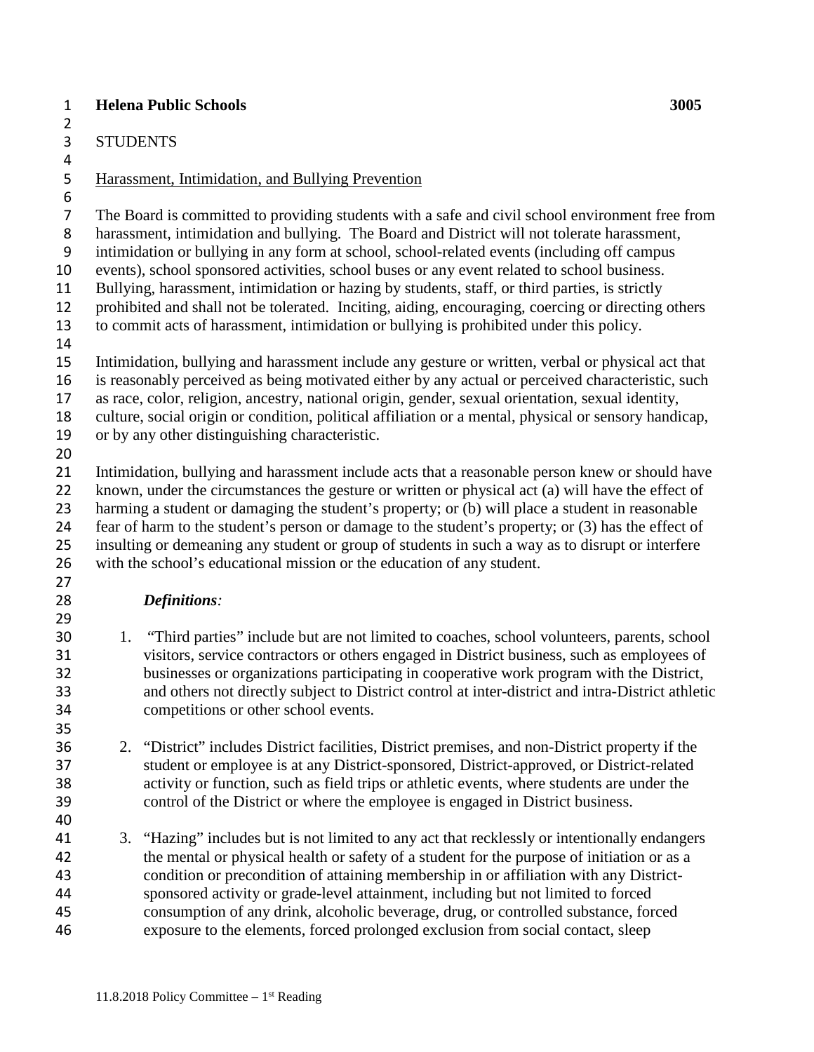## **Helena Public Schools 3005**

STUDENTS

## Harassment, Intimidation, and Bullying Prevention

The Board is committed to providing students with a safe and civil school environment free from

harassment, intimidation and bullying. The Board and District will not tolerate harassment,

- intimidation or bullying in any form at school, school-related events (including off campus
- events), school sponsored activities, school buses or any event related to school business.
- Bullying, harassment, intimidation or hazing by students, staff, or third parties, is strictly
- prohibited and shall not be tolerated. Inciting, aiding, encouraging, coercing or directing others
- to commit acts of harassment, intimidation or bullying is prohibited under this policy.
- Intimidation, bullying and harassment include any gesture or written, verbal or physical act that
- is reasonably perceived as being motivated either by any actual or perceived characteristic, such as race, color, religion, ancestry, national origin, gender, sexual orientation, sexual identity,
- culture, social origin or condition, political affiliation or a mental, physical or sensory handicap,
- or by any other distinguishing characteristic.
- 

 Intimidation, bullying and harassment include acts that a reasonable person knew or should have 22 known, under the circumstances the gesture or written or physical act (a) will have the effect of harming a student or damaging the student's property; or (b) will place a student in reasonable fear of harm to the student's person or damage to the student's property; or (3) has the effect of insulting or demeaning any student or group of students in such a way as to disrupt or interfere with the school's educational mission or the education of any student.

# *Definitions:*

- 1. "Third parties" include but are not limited to coaches, school volunteers, parents, school visitors, service contractors or others engaged in District business, such as employees of businesses or organizations participating in cooperative work program with the District, and others not directly subject to District control at inter-district and intra-District athletic competitions or other school events.
- 2. "District" includes District facilities, District premises, and non-District property if the student or employee is at any District-sponsored, District-approved, or District-related activity or function, such as field trips or athletic events, where students are under the control of the District or where the employee is engaged in District business.
- 

 3. "Hazing" includes but is not limited to any act that recklessly or intentionally endangers the mental or physical health or safety of a student for the purpose of initiation or as a condition or precondition of attaining membership in or affiliation with any District- sponsored activity or grade-level attainment, including but not limited to forced consumption of any drink, alcoholic beverage, drug, or controlled substance, forced exposure to the elements, forced prolonged exclusion from social contact, sleep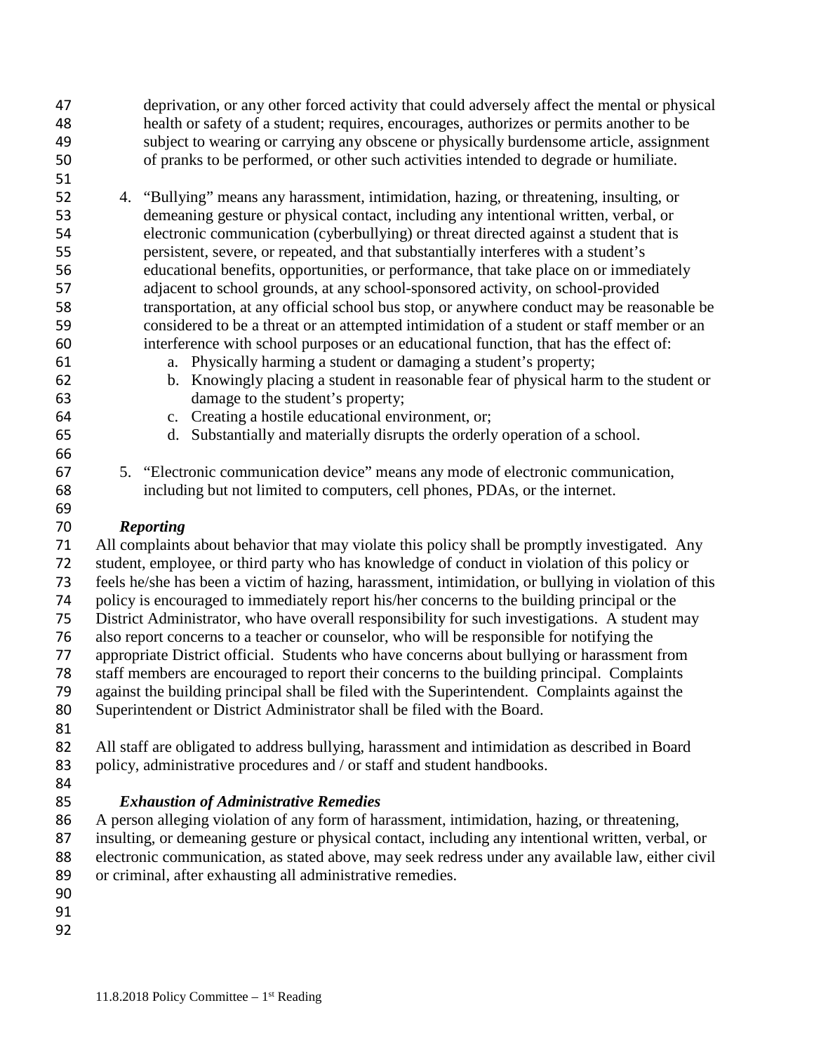- deprivation, or any other forced activity that could adversely affect the mental or physical health or safety of a student; requires, encourages, authorizes or permits another to be subject to wearing or carrying any obscene or physically burdensome article, assignment of pranks to be performed, or other such activities intended to degrade or humiliate.
- 

- 4. "Bullying" means any harassment, intimidation, hazing, or threatening, insulting, or demeaning gesture or physical contact, including any intentional written, verbal, or electronic communication (cyberbullying) or threat directed against a student that is persistent, severe, or repeated, and that substantially interferes with a student's educational benefits, opportunities, or performance, that take place on or immediately adjacent to school grounds, at any school-sponsored activity, on school-provided transportation, at any official school bus stop, or anywhere conduct may be reasonable be considered to be a threat or an attempted intimidation of a student or staff member or an interference with school purposes or an educational function, that has the effect of:
- a. Physically harming a student or damaging a student's property;
- b. Knowingly placing a student in reasonable fear of physical harm to the student or damage to the student's property;
- c. Creating a hostile educational environment, or;
- d. Substantially and materially disrupts the orderly operation of a school.
- 5. "Electronic communication device" means any mode of electronic communication, including but not limited to computers, cell phones, PDAs, or the internet.

# *Reporting*

 All complaints about behavior that may violate this policy shall be promptly investigated. Any student, employee, or third party who has knowledge of conduct in violation of this policy or feels he/she has been a victim of hazing, harassment, intimidation, or bullying in violation of this policy is encouraged to immediately report his/her concerns to the building principal or the District Administrator, who have overall responsibility for such investigations. A student may also report concerns to a teacher or counselor, who will be responsible for notifying the appropriate District official. Students who have concerns about bullying or harassment from staff members are encouraged to report their concerns to the building principal. Complaints against the building principal shall be filed with the Superintendent. Complaints against the Superintendent or District Administrator shall be filed with the Board. All staff are obligated to address bullying, harassment and intimidation as described in Board 83 policy, administrative procedures and / or staff and student handbooks.

- 
- 

# *Exhaustion of Administrative Remedies*

 A person alleging violation of any form of harassment, intimidation, hazing, or threatening, insulting, or demeaning gesture or physical contact, including any intentional written, verbal, or electronic communication, as stated above, may seek redress under any available law, either civil or criminal, after exhausting all administrative remedies.

- 
- 
-